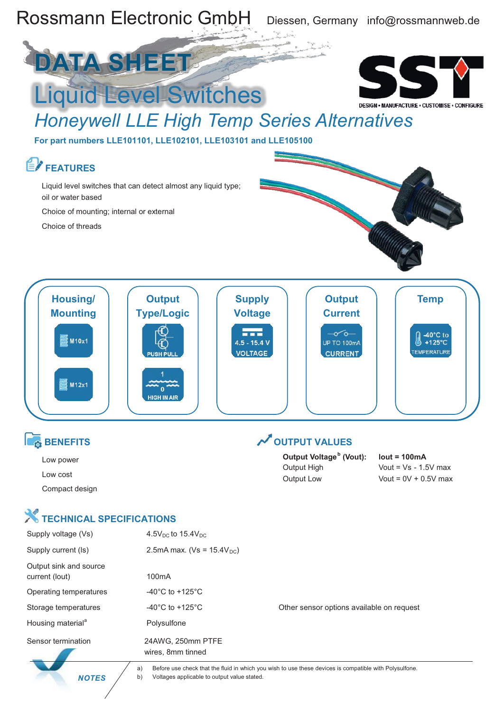

 *NOTES*

a) Before use check that the fluid in which you wish to use these devices is compatible with Polysulfone. b) Voltages applicable to output value stated.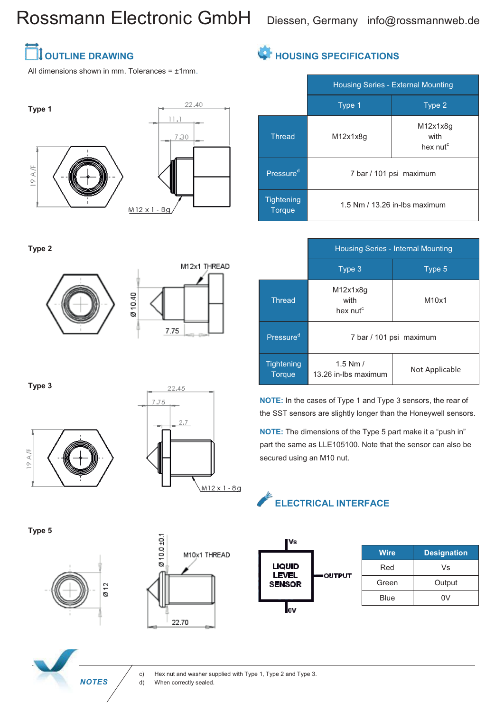## Rossmann Electronic GmbH Diessen, Germany info@rossmannweb.de

### **SEAL THE DRAWING**

All dimensions shown in mm. Tolerances =  $±1$ mm.





**Type 2**





**Type 3**





**Type 5**





### **HOUSING SPECIFICATIONS**

|                                    | <b>Housing Series - External Mounting</b> |                                          |
|------------------------------------|-------------------------------------------|------------------------------------------|
|                                    | Type 1                                    | Type 2                                   |
| <b>Thread</b>                      | M12x1x8q                                  | M12x1x8q<br>with<br>hex nut <sup>c</sup> |
| Pressure <sup>d</sup>              | 7 bar / 101 psi maximum                   |                                          |
| <b>Tightening</b><br><b>Torque</b> | 1.5 Nm / 13.26 in-lbs maximum             |                                          |

|                             | Housing Series - Internal Mounting       |                |
|-----------------------------|------------------------------------------|----------------|
|                             | Type 3                                   | Type 5         |
| <b>Thread</b>               | M12x1x8q<br>with<br>hex nut <sup>c</sup> | M10x1          |
| Pressure <sup>d</sup>       | 7 bar / 101 psi maximum                  |                |
| Tightening<br><b>Torque</b> | $1.5$ Nm $/$<br>13.26 in-lbs maximum     | Not Applicable |

**NOTE:** In the cases of Type 1 and Type 3 sensors, the rear of the SST sensors are slightly longer than the Honeywell sensors.

**NOTE:** The dimensions of the Type 5 part make it a "push in" part the same as LLE105100. Note that the sensor can also be secured using an M10 nut.

### **ELECTRICAL INTERFACE**



c) Hex nut and washer supplied with Type 1, Type 2 and Type 3. **NOTES** (d) When correctly sealed.